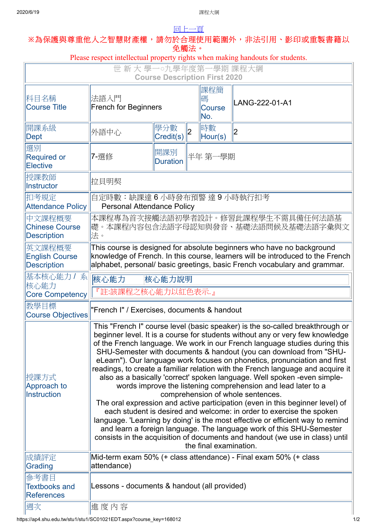## [回上一頁](javascript:history.back()) **※**為保護與尊重他人之智慧財產權,請勿於合理使用範圍外,非法引用、影印或重製書籍以

| 免觸法。<br>Please respect intellectual property rights when making handouts for students. |                                                                                                                                                                                                                                                                                                                                                                                                                                                                                                                                                                                                                                                                                                                                                                                                                                                                                                                                                                                                                                                                                                   |                        |                |                           |                |  |  |
|----------------------------------------------------------------------------------------|---------------------------------------------------------------------------------------------------------------------------------------------------------------------------------------------------------------------------------------------------------------------------------------------------------------------------------------------------------------------------------------------------------------------------------------------------------------------------------------------------------------------------------------------------------------------------------------------------------------------------------------------------------------------------------------------------------------------------------------------------------------------------------------------------------------------------------------------------------------------------------------------------------------------------------------------------------------------------------------------------------------------------------------------------------------------------------------------------|------------------------|----------------|---------------------------|----------------|--|--|
| 世新大學一。九學年度第一學期課程大綱                                                                     |                                                                                                                                                                                                                                                                                                                                                                                                                                                                                                                                                                                                                                                                                                                                                                                                                                                                                                                                                                                                                                                                                                   |                        |                |                           |                |  |  |
| <b>Course Description First 2020</b>                                                   |                                                                                                                                                                                                                                                                                                                                                                                                                                                                                                                                                                                                                                                                                                                                                                                                                                                                                                                                                                                                                                                                                                   |                        |                |                           |                |  |  |
| 科目名稱<br><b>Course Title</b>                                                            | 法語入門<br><b>French for Beginners</b>                                                                                                                                                                                                                                                                                                                                                                                                                                                                                                                                                                                                                                                                                                                                                                                                                                                                                                                                                                                                                                                               |                        |                | 課程簡<br>碼<br>Course<br>No. | LANG-222-01-A1 |  |  |
| 開課系級<br>Dept                                                                           | 外語中心                                                                                                                                                                                                                                                                                                                                                                                                                                                                                                                                                                                                                                                                                                                                                                                                                                                                                                                                                                                                                                                                                              | 學分數<br>Credit(s)       | $\overline{2}$ | 時數<br>Hour(s)             | 2              |  |  |
| 選別<br><b>Required or</b><br><b>Elective</b>                                            | 7-選修                                                                                                                                                                                                                                                                                                                                                                                                                                                                                                                                                                                                                                                                                                                                                                                                                                                                                                                                                                                                                                                                                              | 開課別<br><b>Duration</b> |                | 半年 第一學期                   |                |  |  |
| 授課教師<br>Instructor                                                                     | 拉貝明契                                                                                                                                                                                                                                                                                                                                                                                                                                                                                                                                                                                                                                                                                                                                                                                                                                                                                                                                                                                                                                                                                              |                        |                |                           |                |  |  |
| 扣考規定<br><b>Attendance Policy</b>                                                       | 自定時數:缺課達 6 小時發布預警 達 9 小時執行扣考<br><b>Personal Attendance Policy</b>                                                                                                                                                                                                                                                                                                                                                                                                                                                                                                                                                                                                                                                                                                                                                                                                                                                                                                                                                                                                                                 |                        |                |                           |                |  |  |
| 中文課程概要<br><b>Chinese Course</b><br><b>Description</b>                                  | 本課程專為首次接觸法語初學者設計。修習此課程學生不需具備任何法語基 <br> 礎。本課程內容包含法語字母認知與發音、基礎法語問候及基礎法語字彙與文<br>法。                                                                                                                                                                                                                                                                                                                                                                                                                                                                                                                                                                                                                                                                                                                                                                                                                                                                                                                                                                                                                   |                        |                |                           |                |  |  |
| 英文課程概要<br><b>English Course</b><br><b>Description</b>                                  | This course is designed for absolute beginners who have no background<br>knowledge of French. In this course, learners will be introduced to the French<br>alphabet, personal/ basic greetings, basic French vocabulary and grammar.                                                                                                                                                                                                                                                                                                                                                                                                                                                                                                                                                                                                                                                                                                                                                                                                                                                              |                        |                |                           |                |  |  |
| 基本核心能力 / 系<br>核心能力                                                                     | 核心能力<br>核心能力說明<br>『註:該課程之核心能力以紅色表示.』                                                                                                                                                                                                                                                                                                                                                                                                                                                                                                                                                                                                                                                                                                                                                                                                                                                                                                                                                                                                                                                              |                        |                |                           |                |  |  |
| <b>Core Competency</b><br> 教學目標<br><b>Course Objectives</b>                            | "French I" / Exercises, documents & handout                                                                                                                                                                                                                                                                                                                                                                                                                                                                                                                                                                                                                                                                                                                                                                                                                                                                                                                                                                                                                                                       |                        |                |                           |                |  |  |
| 授課方式<br>Approach to<br>Instruction                                                     | This "French I" course level (basic speaker) is the so-called breakthrough or<br>beginner level. It is a course for students without any or very few knowledge<br>of the French language. We work in our French language studies during this<br>SHU-Semester with documents & handout (you can download from "SHU-<br>eLearn"). Our language work focuses on phonetics, pronunciation and first<br>readings, to create a familiar relation with the French language and acquire it<br>also as a basically 'correct' spoken language. Well spoken -even simple-<br>words improve the listening comprehension and lead later to a<br>comprehension of whole sentences.<br>The oral expression and active participation (even in this beginner level) of<br>each student is desired and welcome: in order to exercise the spoken<br>language. 'Learning by doing' is the most effective or efficient way to remind<br>and learn a foreign language. The language work of this SHU-Semester<br>consists in the acquisition of documents and handout (we use in class) until<br>the final examination. |                        |                |                           |                |  |  |
| 成績評定<br>Grading                                                                        | Mid-term exam 50% (+ class attendance) - Final exam 50% (+ class<br>attendance)                                                                                                                                                                                                                                                                                                                                                                                                                                                                                                                                                                                                                                                                                                                                                                                                                                                                                                                                                                                                                   |                        |                |                           |                |  |  |
| 參考書目<br><b>Textbooks and</b><br><b>References</b>                                      | Lessons - documents & handout (all provided)                                                                                                                                                                                                                                                                                                                                                                                                                                                                                                                                                                                                                                                                                                                                                                                                                                                                                                                                                                                                                                                      |                        |                |                           |                |  |  |
| 週次                                                                                     | 進度內容                                                                                                                                                                                                                                                                                                                                                                                                                                                                                                                                                                                                                                                                                                                                                                                                                                                                                                                                                                                                                                                                                              |                        |                |                           |                |  |  |